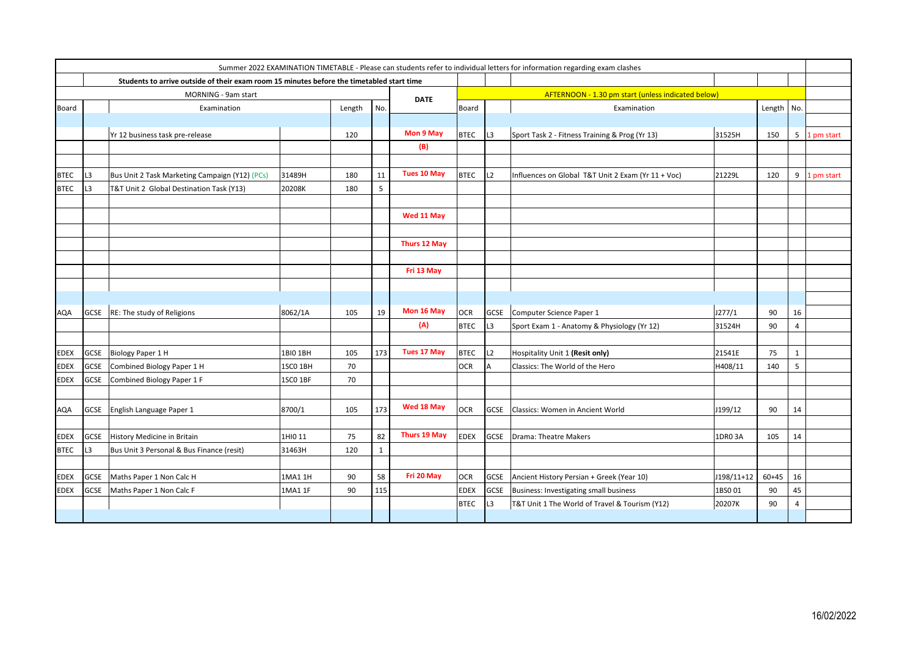| Summer 2022 EXAMINATION TIMETABLE - Please can students refer to individual letters for information regarding exam clashes |                |                                                                                           |          |        |              |                    |                                                    |             |                                                    |            |            |                |              |  |
|----------------------------------------------------------------------------------------------------------------------------|----------------|-------------------------------------------------------------------------------------------|----------|--------|--------------|--------------------|----------------------------------------------------|-------------|----------------------------------------------------|------------|------------|----------------|--------------|--|
|                                                                                                                            |                | Students to arrive outside of their exam room 15 minutes before the timetabled start time |          |        |              |                    |                                                    |             |                                                    |            |            |                |              |  |
|                                                                                                                            |                | MORNING - 9am start                                                                       |          |        |              | <b>DATE</b>        | AFTERNOON - 1.30 pm start (unless indicated below) |             |                                                    |            |            |                |              |  |
| <b>Board</b>                                                                                                               |                | Examination                                                                               |          | Length | No.          |                    | Board                                              |             | Examination                                        |            | Length No. |                |              |  |
|                                                                                                                            |                |                                                                                           |          |        |              |                    |                                                    |             |                                                    |            |            |                |              |  |
|                                                                                                                            |                | Yr 12 business task pre-release                                                           |          | 120    |              | Mon 9 May          | <b>BTEC</b>                                        | L3          | Sport Task 2 - Fitness Training & Prog (Yr 13)     | 31525H     | 150        | 5 <sup>1</sup> | 1 pm start   |  |
|                                                                                                                            |                |                                                                                           |          |        |              | (B)                |                                                    |             |                                                    |            |            |                |              |  |
|                                                                                                                            |                |                                                                                           |          |        |              |                    |                                                    |             |                                                    |            |            |                |              |  |
| <b>BTEC</b>                                                                                                                | L3             | Bus Unit 2 Task Marketing Campaign (Y12) (PCs)                                            | 31489H   | 180    | 11           | <b>Tues 10 May</b> | <b>BTEC</b>                                        | L2          | Influences on Global T&T Unit 2 Exam (Yr 11 + Voc) | 21229L     | 120        |                | 9 1 pm start |  |
| <b>BTEC</b>                                                                                                                | L3             | T&T Unit 2 Global Destination Task (Y13)                                                  | 20208K   | 180    | 5            |                    |                                                    |             |                                                    |            |            |                |              |  |
|                                                                                                                            |                |                                                                                           |          |        |              |                    |                                                    |             |                                                    |            |            |                |              |  |
|                                                                                                                            |                |                                                                                           |          |        |              | Wed 11 May         |                                                    |             |                                                    |            |            |                |              |  |
|                                                                                                                            |                |                                                                                           |          |        |              |                    |                                                    |             |                                                    |            |            |                |              |  |
|                                                                                                                            |                |                                                                                           |          |        |              | Thurs 12 May       |                                                    |             |                                                    |            |            |                |              |  |
|                                                                                                                            |                |                                                                                           |          |        |              |                    |                                                    |             |                                                    |            |            |                |              |  |
|                                                                                                                            |                |                                                                                           |          |        |              | Fri 13 May         |                                                    |             |                                                    |            |            |                |              |  |
|                                                                                                                            |                |                                                                                           |          |        |              |                    |                                                    |             |                                                    |            |            |                |              |  |
|                                                                                                                            |                |                                                                                           |          |        |              |                    |                                                    |             |                                                    |            |            |                |              |  |
| AQA                                                                                                                        | GCSE           | RE: The study of Religions                                                                | 8062/1A  | 105    | 19           | Mon 16 May         | <b>OCR</b>                                         | <b>GCSE</b> | Computer Science Paper 1                           | J277/1     | 90         | 16             |              |  |
|                                                                                                                            |                |                                                                                           |          |        |              | (A)                | <b>BTEC</b>                                        | L3          | Sport Exam 1 - Anatomy & Physiology (Yr 12)        | 31524H     | 90         | $\overline{4}$ |              |  |
|                                                                                                                            |                |                                                                                           |          |        |              |                    |                                                    |             |                                                    |            |            |                |              |  |
| <b>EDEX</b>                                                                                                                | GCSE           | Biology Paper 1 H                                                                         | 1BI0 1BH | 105    | 173          | <b>Tues 17 May</b> | <b>BTEC</b>                                        | L2          | Hospitality Unit 1 (Resit only)                    | 21541E     | 75         | $\mathbf{1}$   |              |  |
| <b>EDEX</b>                                                                                                                | <b>GCSE</b>    | Combined Biology Paper 1 H                                                                | 1SCO 1BH | 70     |              |                    | <b>OCR</b>                                         |             | Classics: The World of the Hero                    | H408/11    | 140        | 5              |              |  |
| <b>EDEX</b>                                                                                                                | <b>GCSE</b>    | Combined Biology Paper 1 F                                                                | 1SCO 1BF | 70     |              |                    |                                                    |             |                                                    |            |            |                |              |  |
|                                                                                                                            |                |                                                                                           |          |        |              |                    |                                                    |             |                                                    |            |            |                |              |  |
| <b>AQA</b>                                                                                                                 |                | GCSE   English Language Paper 1                                                           | 8700/1   | 105    | 173          | Wed 18 May         | <b>OCR</b>                                         | <b>GCSE</b> | Classics: Women in Ancient World                   | J199/12    | 90         | 14             |              |  |
|                                                                                                                            |                |                                                                                           |          |        |              |                    |                                                    |             |                                                    |            |            |                |              |  |
| EDEX                                                                                                                       | <b>GCSE</b>    | History Medicine in Britain                                                               | 1HI0 11  | 75     | 82           | Thurs 19 May       | <b>EDEX</b>                                        | <b>GCSE</b> | Drama: Theatre Makers                              | 1DR0 3A    | 105        | 14             |              |  |
| <b>BTEC</b>                                                                                                                | L <sub>3</sub> | Bus Unit 3 Personal & Bus Finance (resit)                                                 | 31463H   | 120    | $\mathbf{1}$ |                    |                                                    |             |                                                    |            |            |                |              |  |
|                                                                                                                            |                |                                                                                           |          |        |              |                    |                                                    |             |                                                    |            |            |                |              |  |
| <b>EDEX</b>                                                                                                                | <b>GCSE</b>    | Maths Paper 1 Non Calc H                                                                  | 1MA1 1H  | 90     | 58           | Fri 20 May         | <b>OCR</b>                                         | GCSE        | Ancient History Persian + Greek (Year 10)          | J198/11+12 | $60 + 45$  | 16             |              |  |
| <b>EDEX</b>                                                                                                                | GCSE           | Maths Paper 1 Non Calc F                                                                  | 1MA1 1F  | 90     | 115          |                    | <b>EDEX</b>                                        | <b>GCSE</b> | Business: Investigating small business             | 1BS001     | 90         | 45             |              |  |
|                                                                                                                            |                |                                                                                           |          |        |              |                    | <b>BTEC</b>                                        | L3          | T&T Unit 1 The World of Travel & Tourism (Y12)     | 20207K     | 90         | 4              |              |  |
|                                                                                                                            |                |                                                                                           |          |        |              |                    |                                                    |             |                                                    |            |            |                |              |  |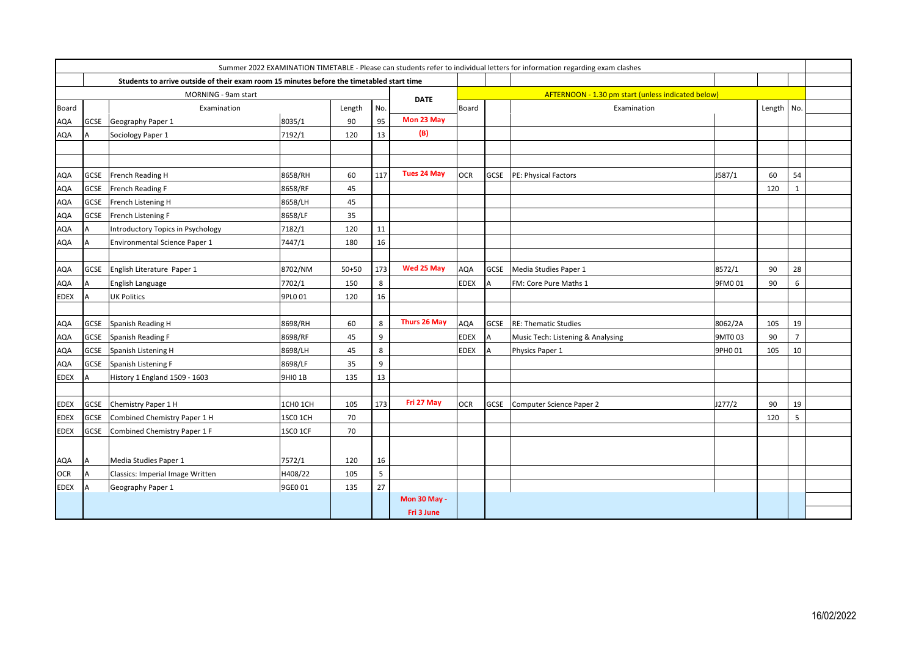|             |                                    |                                                                                           |                     |           |     | Summer 2022 EXAMINATION TIMETABLE - Please can students refer to individual letters for information regarding exam clashes |             |                                                    |                                   |         |            |                |  |  |
|-------------|------------------------------------|-------------------------------------------------------------------------------------------|---------------------|-----------|-----|----------------------------------------------------------------------------------------------------------------------------|-------------|----------------------------------------------------|-----------------------------------|---------|------------|----------------|--|--|
|             |                                    | Students to arrive outside of their exam room 15 minutes before the timetabled start time |                     |           |     |                                                                                                                            |             |                                                    |                                   |         |            |                |  |  |
|             | MORNING - 9am start<br><b>DATE</b> |                                                                                           |                     |           |     |                                                                                                                            |             | AFTERNOON - 1.30 pm start (unless indicated below) |                                   |         |            |                |  |  |
| Board       |                                    | Examination                                                                               |                     | Length    | No. |                                                                                                                            | Board       |                                                    | Examination                       |         | Length No. |                |  |  |
| AQA         | <b>GCSE</b>                        | Geography Paper 1                                                                         | 8035/1              | 90        | 95  | Mon 23 May                                                                                                                 |             |                                                    |                                   |         |            |                |  |  |
| AQA         | A                                  | Sociology Paper 1                                                                         | 7192/1              | 120       | 13  | (B)                                                                                                                        |             |                                                    |                                   |         |            |                |  |  |
|             |                                    |                                                                                           |                     |           |     |                                                                                                                            |             |                                                    |                                   |         |            |                |  |  |
| AQA         |                                    | GCSE French Reading H                                                                     | 8658/RH             | 60        | 117 | <b>Tues 24 May</b>                                                                                                         | <b>OCR</b>  |                                                    | <b>GCSE</b> PE: Physical Factors  | J587/1  | 60         | 54             |  |  |
| AQA         |                                    | GCSE French Reading F                                                                     | 8658/RF             | 45        |     |                                                                                                                            |             |                                                    |                                   |         | 120        | $\mathbf{1}$   |  |  |
| AQA         | <b>GCSE</b>                        | French Listening H                                                                        | 8658/LH             | 45        |     |                                                                                                                            |             |                                                    |                                   |         |            |                |  |  |
| AQA         | <b>GCSE</b>                        | French Listening F                                                                        | 8658/LF             | 35        |     |                                                                                                                            |             |                                                    |                                   |         |            |                |  |  |
| AQA         | A                                  | Introductory Topics in Psychology                                                         | 7182/1              | 120       | 11  |                                                                                                                            |             |                                                    |                                   |         |            |                |  |  |
| AQA         | A                                  | Environmental Science Paper 1                                                             | 7447/1              | 180       | 16  |                                                                                                                            |             |                                                    |                                   |         |            |                |  |  |
| AQA         |                                    | GCSE English Literature Paper 1                                                           | 8702/NM             | $50 + 50$ | 173 | Wed 25 May                                                                                                                 | AQA         | GCSE                                               | Media Studies Paper 1             | 8572/1  | 90         | 28             |  |  |
| AQA         | A                                  | English Language                                                                          | 7702/1              | 150       | 8   |                                                                                                                            | <b>EDEX</b> | A                                                  | FM: Core Pure Maths 1             | 9FM001  | 90         | 6              |  |  |
| EDEX        | A                                  | <b>UK Politics</b>                                                                        | 9PL0 01             | 120       | 16  |                                                                                                                            |             |                                                    |                                   |         |            |                |  |  |
| AQA         |                                    | GCSE Spanish Reading H                                                                    | 8698/RH             | 60        | 8   | Thurs 26 May                                                                                                               | AQA         | GCSE                                               | <b>RE: Thematic Studies</b>       | 8062/2A | 105        | 19             |  |  |
| AQA         | <b>GCSE</b>                        | Spanish Reading F                                                                         | 8698/RF             | 45        | 9   |                                                                                                                            | <b>EDEX</b> |                                                    | Music Tech: Listening & Analysing | 9MT003  | 90         | $\overline{7}$ |  |  |
| AQA         | GCSE                               | Spanish Listening H                                                                       | 8698/LH             | 45        | 8   |                                                                                                                            | <b>EDEX</b> |                                                    | Physics Paper 1                   | 9PH0 01 | 105        | 10             |  |  |
| AQA         | <b>GCSE</b>                        | Spanish Listening F                                                                       | 8698/LF             | 35        | 9   |                                                                                                                            |             |                                                    |                                   |         |            |                |  |  |
| EDEX        | A                                  | History 1 England 1509 - 1603                                                             | 9HIO 1B             | 135       | 13  |                                                                                                                            |             |                                                    |                                   |         |            |                |  |  |
| EDEX        | <b>GCSE</b>                        | Chemistry Paper 1 H                                                                       | 1CHO <sub>1CH</sub> | 105       | 173 | Fri 27 May                                                                                                                 | <b>OCR</b>  | GCSE                                               | Computer Science Paper 2          | J277/2  | 90         | 19             |  |  |
| <b>EDEX</b> | <b>GCSE</b>                        | Combined Chemistry Paper 1 H                                                              | 1SCO <sub>1CH</sub> | 70        |     |                                                                                                                            |             |                                                    |                                   |         | 120        | 5              |  |  |
| EDEX        | <b>GCSE</b>                        | Combined Chemistry Paper 1 F                                                              | 1SCO 1CF            | 70        |     |                                                                                                                            |             |                                                    |                                   |         |            |                |  |  |
| AQA         | <b>JA</b>                          | Media Studies Paper 1                                                                     | 7572/1              | 120       | 16  |                                                                                                                            |             |                                                    |                                   |         |            |                |  |  |
| <b>OCR</b>  | A                                  | Classics: Imperial Image Written                                                          | H408/22             | 105       | 5   |                                                                                                                            |             |                                                    |                                   |         |            |                |  |  |
| EDEX        | A                                  | Geography Paper 1                                                                         | 9GE0 01             | 135       | 27  |                                                                                                                            |             |                                                    |                                   |         |            |                |  |  |
|             |                                    |                                                                                           |                     |           |     | <b>Mon 30 May -</b>                                                                                                        |             |                                                    |                                   |         |            |                |  |  |
|             |                                    |                                                                                           |                     |           |     | Fri 3 June                                                                                                                 |             |                                                    |                                   |         |            |                |  |  |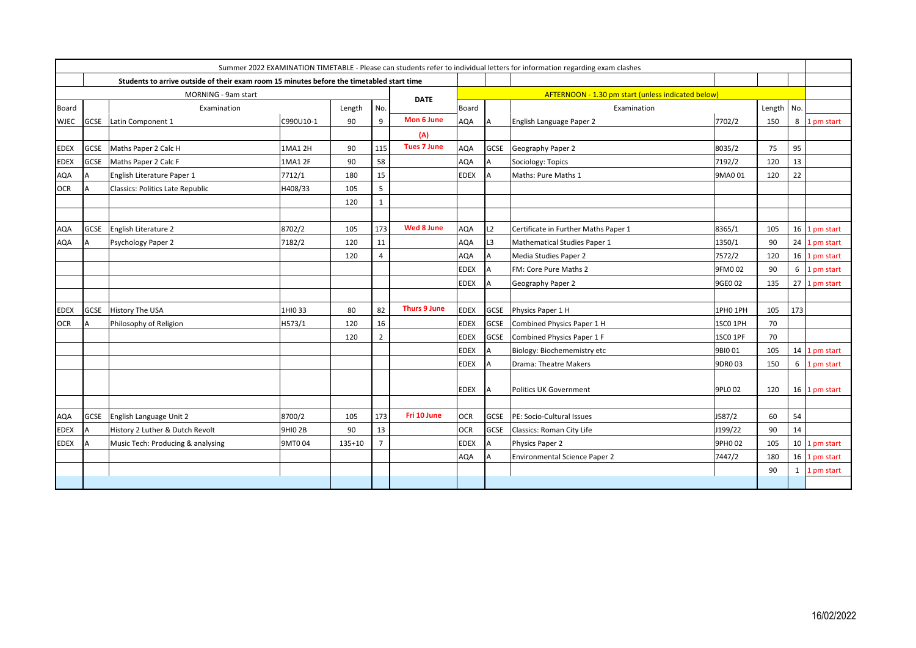|              |                     |                                                                                           |           |            | Summer 2022 EXAMINATION TIMETABLE - Please can students refer to individual letters for information regarding exam clashes |                     |              |             |                                                    |          |        |     |               |
|--------------|---------------------|-------------------------------------------------------------------------------------------|-----------|------------|----------------------------------------------------------------------------------------------------------------------------|---------------------|--------------|-------------|----------------------------------------------------|----------|--------|-----|---------------|
|              |                     | Students to arrive outside of their exam room 15 minutes before the timetabled start time |           |            |                                                                                                                            |                     |              |             |                                                    |          |        |     |               |
|              | MORNING - 9am start |                                                                                           |           |            |                                                                                                                            |                     |              |             | AFTERNOON - 1.30 pm start (unless indicated below) |          |        |     |               |
| <b>Board</b> |                     | Examination                                                                               |           | Length     | No.                                                                                                                        | <b>DATE</b>         | <b>Board</b> |             | Examination                                        |          | Length | No. |               |
| <b>WJEC</b>  |                     | GCSE Latin Component 1                                                                    | C990U10-1 | 90         | 9                                                                                                                          | Mon 6 June          | <b>AQA</b>   | A           | English Language Paper 2                           | 7702/2   | 150    | 8   | . pm start    |
|              |                     |                                                                                           |           |            |                                                                                                                            | (A)                 |              |             |                                                    |          |        |     |               |
| <b>EDEX</b>  | GCSE                | Maths Paper 2 Calc H                                                                      | 1MA1 2H   | 90         | 115                                                                                                                        | <b>Tues 7 June</b>  | <b>AQA</b>   | <b>GCSE</b> | Geography Paper 2                                  | 8035/2   | 75     | 95  |               |
| <b>EDEX</b>  | <b>GCSE</b>         | Maths Paper 2 Calc F                                                                      | 1MA1 2F   | 90         | 58                                                                                                                         |                     | AQA          |             | Sociology: Topics                                  | 7192/2   | 120    | 13  |               |
| <b>AQA</b>   |                     | English Literature Paper 1                                                                | 7712/1    | 180        | 15                                                                                                                         |                     | <b>EDEX</b>  |             | Maths: Pure Maths 1                                | 9MA0 01  | 120    | 22  |               |
| <b>OCR</b>   | A                   | Classics: Politics Late Republic                                                          | H408/33   | 105        | 5                                                                                                                          |                     |              |             |                                                    |          |        |     |               |
|              |                     |                                                                                           |           | 120        | $\mathbf{1}$                                                                                                               |                     |              |             |                                                    |          |        |     |               |
|              |                     |                                                                                           |           |            |                                                                                                                            |                     |              |             |                                                    |          |        |     |               |
| <b>AQA</b>   |                     | GCSE English Literature 2                                                                 | 8702/2    | 105        | 173                                                                                                                        | Wed 8 June          | <b>AQA</b>   | L2          | Certificate in Further Maths Paper 1               | 8365/1   | 105    |     | 16 1 pm start |
| <b>AQA</b>   |                     | Psychology Paper 2                                                                        | 7182/2    | 120        | 11                                                                                                                         |                     | AQA          | L3          | Mathematical Studies Paper 1                       | 1350/1   | 90     |     | 24 1 pm start |
|              |                     |                                                                                           |           | 120        | $\overline{4}$                                                                                                             |                     | <b>AQA</b>   |             | Media Studies Paper 2                              | 7572/2   | 120    | 16  | 1 pm start    |
|              |                     |                                                                                           |           |            |                                                                                                                            |                     | <b>EDEX</b>  |             | FM: Core Pure Maths 2                              | 9FM002   | 90     | 6   | 1 pm start    |
|              |                     |                                                                                           |           |            |                                                                                                                            |                     | <b>EDEX</b>  |             | Geography Paper 2                                  | 9GE0 02  | 135    |     | 27 1 pm start |
|              |                     |                                                                                           |           |            |                                                                                                                            |                     |              |             |                                                    |          |        |     |               |
| <b>EDEX</b>  | GCSE                | History The USA                                                                           | 1HIO 33   | 80         | 82                                                                                                                         | <b>Thurs 9 June</b> | <b>EDEX</b>  | GCSE        | Physics Paper 1 H                                  | 1PH0 1PH | 105    | 173 |               |
| <b>OCR</b>   |                     | Philosophy of Religion                                                                    | H573/1    | 120        | 16                                                                                                                         |                     | <b>EDEX</b>  | GCSE        | Combined Physics Paper 1 H                         | 1SCO 1PH | 70     |     |               |
|              |                     |                                                                                           |           | 120        | $\overline{2}$                                                                                                             |                     | <b>EDEX</b>  | GCSE        | Combined Physics Paper 1 F                         | 1SCO 1PF | 70     |     |               |
|              |                     |                                                                                           |           |            |                                                                                                                            |                     | <b>EDEX</b>  |             | Biology: Biochememistry etc                        | 9BIO 01  | 105    |     | 14 1 pm start |
|              |                     |                                                                                           |           |            |                                                                                                                            |                     | <b>EDEX</b>  |             | Drama: Theatre Makers                              | 9DR0 03  | 150    | 6   | 1 pm start    |
|              |                     |                                                                                           |           |            |                                                                                                                            |                     |              |             |                                                    |          |        |     |               |
|              |                     |                                                                                           |           |            |                                                                                                                            |                     | <b>EDEX</b>  |             | Politics UK Government                             | 9PL0 02  | 120    |     | 16 1 pm start |
|              |                     |                                                                                           |           |            |                                                                                                                            |                     |              |             |                                                    |          |        |     |               |
| <b>AQA</b>   | GCSE                | English Language Unit 2                                                                   | 8700/2    | 105        | 173                                                                                                                        | Fri 10 June         | <b>OCR</b>   | <b>GCSE</b> | PE: Socio-Cultural Issues                          | J587/2   | 60     | 54  |               |
| <b>EDEX</b>  |                     | History 2 Luther & Dutch Revolt                                                           | 9HIO 2B   | 90         | 13                                                                                                                         |                     | <b>OCR</b>   | GCSE        | Classics: Roman City Life                          | J199/22  | 90     | 14  |               |
| <b>EDEX</b>  |                     | Music Tech: Producing & analysing                                                         | 9MT004    | $135 + 10$ | $\overline{7}$                                                                                                             |                     | <b>EDEX</b>  |             | Physics Paper 2                                    | 9PH0 02  | 105    | 10  | 1 pm start    |
|              |                     |                                                                                           |           |            |                                                                                                                            |                     | <b>AQA</b>   |             | Environmental Science Paper 2                      | 7447/2   | 180    | 16  | pm start      |
|              |                     |                                                                                           |           |            |                                                                                                                            |                     |              |             |                                                    |          | 90     | 1   | l pm start    |
|              |                     |                                                                                           |           |            |                                                                                                                            |                     |              |             |                                                    |          |        |     |               |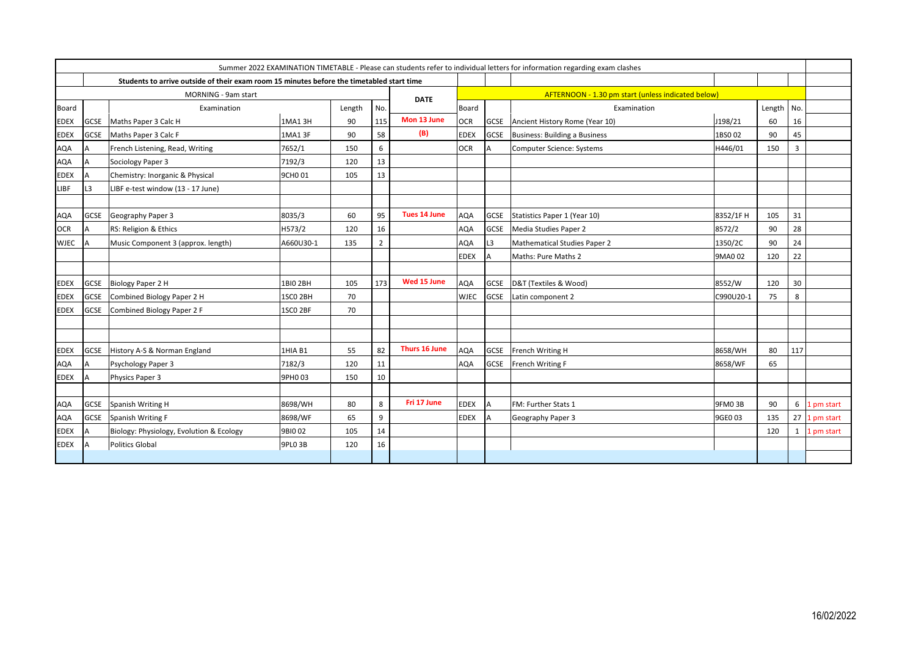| Summer 2022 EXAMINATION TIMETABLE - Please can students refer to individual letters for information regarding exam clashes |                     |                                                                                           |                     |        |                |                     |                                                    |             |                                |           |        |     |            |
|----------------------------------------------------------------------------------------------------------------------------|---------------------|-------------------------------------------------------------------------------------------|---------------------|--------|----------------|---------------------|----------------------------------------------------|-------------|--------------------------------|-----------|--------|-----|------------|
|                                                                                                                            |                     | Students to arrive outside of their exam room 15 minutes before the timetabled start time |                     |        |                |                     |                                                    |             |                                |           |        |     |            |
|                                                                                                                            | MORNING - 9am start |                                                                                           |                     |        |                |                     | AFTERNOON - 1.30 pm start (unless indicated below) |             |                                |           |        |     |            |
| <b>Board</b>                                                                                                               |                     | Examination                                                                               |                     | Length | No.            | <b>DATE</b>         | <b>Board</b>                                       |             | Examination                    |           | Length | No. |            |
| <b>EDEX</b>                                                                                                                | GCSE                | Maths Paper 3 Calc H                                                                      | 1MA1 3H             | 90     | 115            | Mon 13 June         | <b>OCR</b>                                         | <b>GCSE</b> | Ancient History Rome (Year 10) | J198/21   | 60     | 16  |            |
| <b>EDEX</b>                                                                                                                | <b>GCSE</b>         | Maths Paper 3 Calc F                                                                      | 1MA1 3F             | 90     | 58             | (B)                 | <b>EDEX</b>                                        | <b>GCSE</b> | Business: Building a Business  | 1BS0 02   | 90     | 45  |            |
| <b>AQA</b>                                                                                                                 |                     | French Listening, Read, Writing                                                           | 7652/1              | 150    | 6              |                     | <b>OCR</b>                                         | A           | Computer Science: Systems      | H446/01   | 150    | 3   |            |
| AQA                                                                                                                        |                     | Sociology Paper 3                                                                         | 7192/3              | 120    | 13             |                     |                                                    |             |                                |           |        |     |            |
| <b>EDEX</b>                                                                                                                |                     | Chemistry: Inorganic & Physical                                                           | 9CHO 01             | 105    | 13             |                     |                                                    |             |                                |           |        |     |            |
| LIBF                                                                                                                       | L <sub>3</sub>      | LIBF e-test window (13 - 17 June)                                                         |                     |        |                |                     |                                                    |             |                                |           |        |     |            |
|                                                                                                                            |                     |                                                                                           |                     |        |                |                     |                                                    |             |                                |           |        |     |            |
| AQA                                                                                                                        | GCSE                | Geography Paper 3                                                                         | 8035/3              | 60     | 95             | <b>Tues 14 June</b> | <b>AQA</b>                                         | <b>GCSE</b> | Statistics Paper 1 (Year 10)   | 8352/1FH  | 105    | 31  |            |
| <b>OCR</b>                                                                                                                 | $\Delta$            | RS: Religion & Ethics                                                                     | H573/2              | 120    | 16             |                     | <b>AQA</b>                                         | <b>GCSE</b> | Media Studies Paper 2          | 8572/2    | 90     | 28  |            |
| <b>WJEC</b>                                                                                                                |                     | Music Component 3 (approx. length)                                                        | A660U30-1           | 135    | $\overline{2}$ |                     | AQA                                                | L3          | Mathematical Studies Paper 2   | 1350/2C   | 90     | 24  |            |
|                                                                                                                            |                     |                                                                                           |                     |        |                |                     | <b>EDEX</b>                                        |             | Maths: Pure Maths 2            | 9MA0 02   | 120    | 22  |            |
|                                                                                                                            |                     |                                                                                           |                     |        |                |                     |                                                    |             |                                |           |        |     |            |
| <b>EDEX</b>                                                                                                                | GCSE                | Biology Paper 2 H                                                                         | 1BI0 2BH            | 105    | 173            | Wed 15 June         | <b>AQA</b>                                         | <b>GCSE</b> | D&T (Textiles & Wood)          | 8552/W    | 120    | 30  |            |
| <b>EDEX</b>                                                                                                                | <b>GCSE</b>         | Combined Biology Paper 2 H                                                                | 1SCO <sub>2BH</sub> | 70     |                |                     | <b>WJEC</b>                                        | <b>GCSE</b> | Latin component 2              | C990U20-1 | 75     | 8   |            |
| <b>EDEX</b>                                                                                                                | <b>GCSE</b>         | Combined Biology Paper 2 F                                                                | 1SCO <sub>2BF</sub> | 70     |                |                     |                                                    |             |                                |           |        |     |            |
|                                                                                                                            |                     |                                                                                           |                     |        |                |                     |                                                    |             |                                |           |        |     |            |
|                                                                                                                            |                     |                                                                                           |                     |        |                |                     |                                                    |             |                                |           |        |     |            |
| <b>EDEX</b>                                                                                                                | GCSE                | History A-S & Norman England                                                              | 1HIA B1             | 55     | 82             | Thurs 16 June       | <b>AQA</b>                                         | <b>GCSE</b> | French Writing H               | 8658/WH   | 80     | 117 |            |
| AQA                                                                                                                        | Δ                   | Psychology Paper 3                                                                        | 7182/3              | 120    | 11             |                     | <b>AQA</b>                                         | GCSE        | French Writing F               | 8658/WF   | 65     |     |            |
| <b>EDEX</b>                                                                                                                |                     | Physics Paper 3                                                                           | 9PH0 03             | 150    | 10             |                     |                                                    |             |                                |           |        |     |            |
|                                                                                                                            |                     |                                                                                           |                     |        |                |                     |                                                    |             |                                |           |        |     |            |
| <b>AQA</b>                                                                                                                 | <b>GCSE</b>         | Spanish Writing H                                                                         | 8698/WH             | 80     | 8              | Fri 17 June         | <b>EDEX</b>                                        | ΙA          | FM: Further Stats 1            | 9FM03B    | 90     | 6   | 1 pm start |
| <b>AQA</b>                                                                                                                 | <b>GCSE</b>         | Spanish Writing F                                                                         | 8698/WF             | 65     | 9              |                     | <b>EDEX</b>                                        |             | Geography Paper 3              | 9GE0 03   | 135    | 27  | 1 pm start |
| <b>EDEX</b>                                                                                                                |                     | Biology: Physiology, Evolution & Ecology                                                  | 9BIO 02             | 105    | 14             |                     |                                                    |             |                                |           | 120    | 1   | 1 pm start |
| <b>EDEX</b>                                                                                                                |                     | Politics Global                                                                           | 9PLO 3B             | 120    | 16             |                     |                                                    |             |                                |           |        |     |            |
|                                                                                                                            |                     |                                                                                           |                     |        |                |                     |                                                    |             |                                |           |        |     |            |